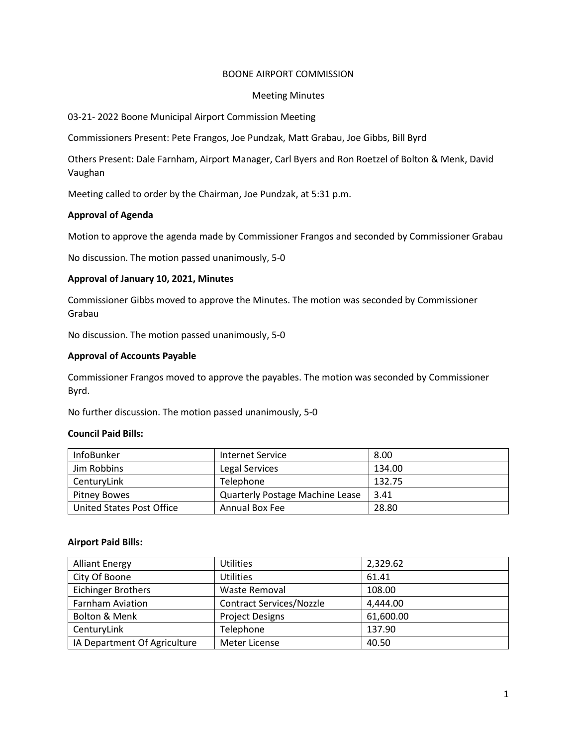## BOONE AIRPORT COMMISSION

### Meeting Minutes

## 03-21- 2022 Boone Municipal Airport Commission Meeting

Commissioners Present: Pete Frangos, Joe Pundzak, Matt Grabau, Joe Gibbs, Bill Byrd

Others Present: Dale Farnham, Airport Manager, Carl Byers and Ron Roetzel of Bolton & Menk, David Vaughan

Meeting called to order by the Chairman, Joe Pundzak, at 5:31 p.m.

## **Approval of Agenda**

Motion to approve the agenda made by Commissioner Frangos and seconded by Commissioner Grabau

No discussion. The motion passed unanimously, 5-0

### **Approval of January 10, 2021, Minutes**

Commissioner Gibbs moved to approve the Minutes. The motion was seconded by Commissioner Grabau

No discussion. The motion passed unanimously, 5-0

### **Approval of Accounts Payable**

Commissioner Frangos moved to approve the payables. The motion was seconded by Commissioner Byrd.

No further discussion. The motion passed unanimously, 5-0

### **Council Paid Bills:**

| <b>InfoBunker</b>         | Internet Service                       | 8.00   |
|---------------------------|----------------------------------------|--------|
| Jim Robbins               | Legal Services                         | 134.00 |
| CenturyLink               | <b>Telephone</b>                       | 132.75 |
| <b>Pitney Bowes</b>       | <b>Quarterly Postage Machine Lease</b> | 3.41   |
| United States Post Office | Annual Box Fee                         | 28.80  |

### **Airport Paid Bills:**

| <b>Alliant Energy</b>        | <b>Utilities</b>                | 2,329.62  |
|------------------------------|---------------------------------|-----------|
| City Of Boone                | <b>Utilities</b>                | 61.41     |
| <b>Eichinger Brothers</b>    | Waste Removal                   | 108.00    |
| <b>Farnham Aviation</b>      | <b>Contract Services/Nozzle</b> | 4,444.00  |
| Bolton & Menk                | <b>Project Designs</b>          | 61,600.00 |
| CenturyLink                  | Telephone                       | 137.90    |
| IA Department Of Agriculture | Meter License                   | 40.50     |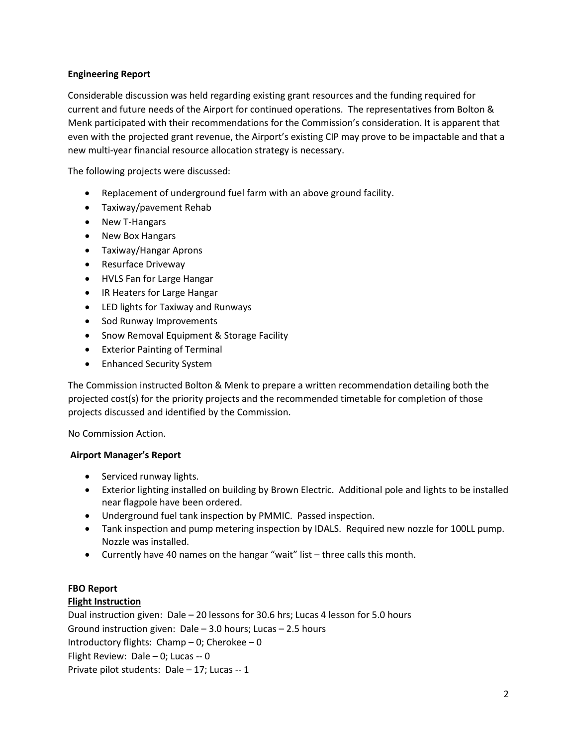# **Engineering Report**

Considerable discussion was held regarding existing grant resources and the funding required for current and future needs of the Airport for continued operations. The representatives from Bolton & Menk participated with their recommendations for the Commission's consideration. It is apparent that even with the projected grant revenue, the Airport's existing CIP may prove to be impactable and that a new multi-year financial resource allocation strategy is necessary.

The following projects were discussed:

- Replacement of underground fuel farm with an above ground facility.
- Taxiway/pavement Rehab
- New T-Hangars
- New Box Hangars
- Taxiway/Hangar Aprons
- Resurface Driveway
- HVLS Fan for Large Hangar
- IR Heaters for Large Hangar
- LED lights for Taxiway and Runways
- Sod Runway Improvements
- Snow Removal Equipment & Storage Facility
- Exterior Painting of Terminal
- Enhanced Security System

The Commission instructed Bolton & Menk to prepare a written recommendation detailing both the projected cost(s) for the priority projects and the recommended timetable for completion of those projects discussed and identified by the Commission.

No Commission Action.

# **Airport Manager's Report**

- Serviced runway lights.
- Exterior lighting installed on building by Brown Electric. Additional pole and lights to be installed near flagpole have been ordered.
- Underground fuel tank inspection by PMMIC. Passed inspection.
- Tank inspection and pump metering inspection by IDALS. Required new nozzle for 100LL pump. Nozzle was installed.
- Currently have 40 names on the hangar "wait" list three calls this month.

# **FBO Report**

# **Flight Instruction**

Dual instruction given: Dale – 20 lessons for 30.6 hrs; Lucas 4 lesson for 5.0 hours Ground instruction given: Dale – 3.0 hours; Lucas – 2.5 hours Introductory flights: Champ – 0; Cherokee – 0 Flight Review: Dale – 0; Lucas -- 0 Private pilot students: Dale – 17; Lucas -- 1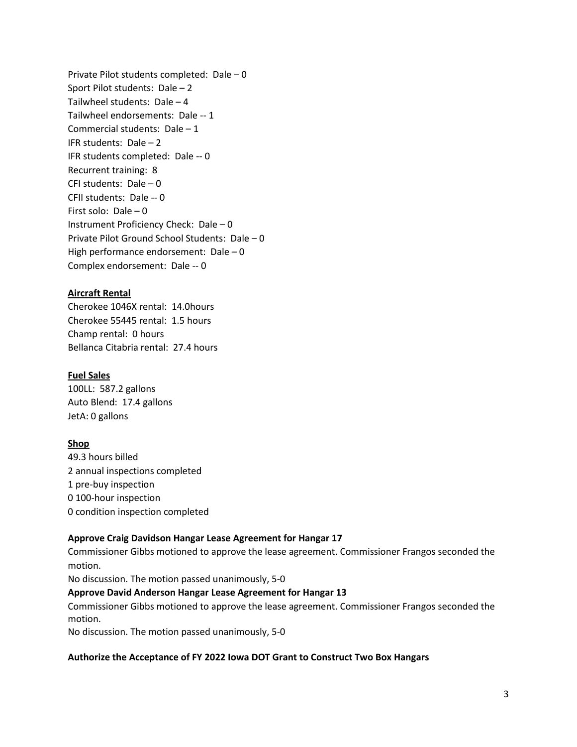Private Pilot students completed: Dale – 0 Sport Pilot students: Dale – 2 Tailwheel students: Dale – 4 Tailwheel endorsements: Dale -- 1 Commercial students: Dale – 1 IFR students: Dale – 2 IFR students completed: Dale -- 0 Recurrent training: 8 CFI students: Dale – 0 CFII students: Dale -- 0 First solo: Dale – 0 Instrument Proficiency Check: Dale – 0 Private Pilot Ground School Students: Dale – 0 High performance endorsement: Dale – 0 Complex endorsement: Dale -- 0

# **Aircraft Rental**

Cherokee 1046X rental: 14.0hours Cherokee 55445 rental: 1.5 hours Champ rental: 0 hours Bellanca Citabria rental: 27.4 hours

# **Fuel Sales**

100LL: 587.2 gallons Auto Blend: 17.4 gallons JetA: 0 gallons

# **Shop**

49.3 hours billed 2 annual inspections completed 1 pre-buy inspection 0 100-hour inspection 0 condition inspection completed

# **Approve Craig Davidson Hangar Lease Agreement for Hangar 17**

Commissioner Gibbs motioned to approve the lease agreement. Commissioner Frangos seconded the motion.

No discussion. The motion passed unanimously, 5-0

### **Approve David Anderson Hangar Lease Agreement for Hangar 13**

Commissioner Gibbs motioned to approve the lease agreement. Commissioner Frangos seconded the motion.

No discussion. The motion passed unanimously, 5-0

### **Authorize the Acceptance of FY 2022 Iowa DOT Grant to Construct Two Box Hangars**